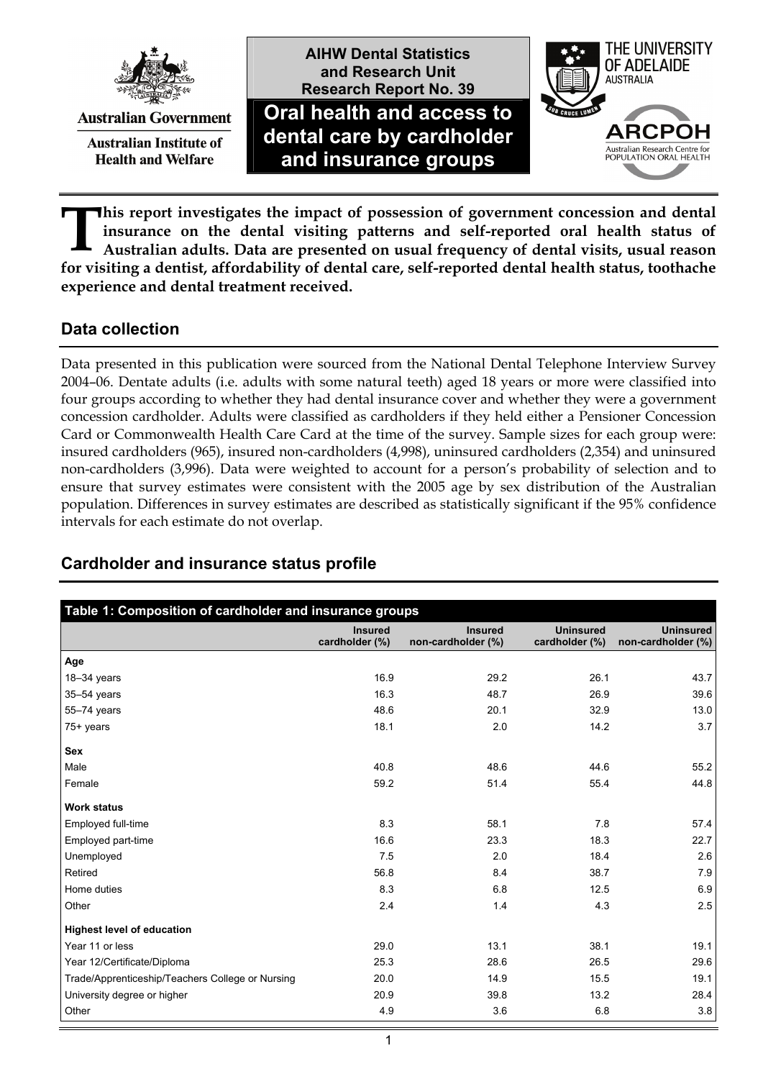

**Australian Government** 

**Australian Institute of Health and Welfare** 

**and Research Unit Research Report No. 39 Oral health and access to dental care by cardholder and insurance groups**

**AIHW Dental Statistics** 



**his report investigates the impact of possession of government concession and dental insurance on the dental visiting patterns and self-reported oral health status of Australian adults. Data are presented on usual frequency of dental visits, usual reason for visiting a dentist, affordability of dental care, self-reported dental health status, toothache experience and dental treatment received. T**

### **Data collection**

Data presented in this publication were sourced from the National Dental Telephone Interview Survey 2004–06. Dentate adults (i.e. adults with some natural teeth) aged 18 years or more were classified into four groups according to whether they had dental insurance cover and whether they were a government concession cardholder. Adults were classified as cardholders if they held either a Pensioner Concession Card or Commonwealth Health Care Card at the time of the survey. Sample sizes for each group were: insured cardholders (965), insured non-cardholders (4,998), uninsured cardholders (2,354) and uninsured non-cardholders (3,996). Data were weighted to account for a person's probability of selection and to ensure that survey estimates were consistent with the 2005 age by sex distribution of the Australian population. Differences in survey estimates are described as statistically significant if the 95% confidence intervals for each estimate do not overlap.

| Table 1: Composition of cardholder and insurance groups |                                  |                                      |                                    |                                        |  |
|---------------------------------------------------------|----------------------------------|--------------------------------------|------------------------------------|----------------------------------------|--|
|                                                         | <b>Insured</b><br>cardholder (%) | <b>Insured</b><br>non-cardholder (%) | <b>Uninsured</b><br>cardholder (%) | <b>Uninsured</b><br>non-cardholder (%) |  |
| Age                                                     |                                  |                                      |                                    |                                        |  |
| 18-34 years                                             | 16.9                             | 29.2                                 | 26.1                               | 43.7                                   |  |
| 35-54 years                                             | 16.3                             | 48.7                                 | 26.9                               | 39.6                                   |  |
| 55-74 years                                             | 48.6                             | 20.1                                 | 32.9                               | 13.0                                   |  |
| $75+$ years                                             | 18.1                             | 2.0                                  | 14.2                               | 3.7                                    |  |
| <b>Sex</b>                                              |                                  |                                      |                                    |                                        |  |
| Male                                                    | 40.8                             | 48.6                                 | 44.6                               | 55.2                                   |  |
| Female                                                  | 59.2                             | 51.4                                 | 55.4                               | 44.8                                   |  |
| <b>Work status</b>                                      |                                  |                                      |                                    |                                        |  |
| Employed full-time                                      | 8.3                              | 58.1                                 | 7.8                                | 57.4                                   |  |
| Employed part-time                                      | 16.6                             | 23.3                                 | 18.3                               | 22.7                                   |  |
| Unemployed                                              | 7.5                              | 2.0                                  | 18.4                               | 2.6                                    |  |
| Retired                                                 | 56.8                             | 8.4                                  | 38.7                               | 7.9                                    |  |
| Home duties                                             | 8.3                              | 6.8                                  | 12.5                               | 6.9                                    |  |
| Other                                                   | 2.4                              | 1.4                                  | 4.3                                | 2.5                                    |  |
| <b>Highest level of education</b>                       |                                  |                                      |                                    |                                        |  |
| Year 11 or less                                         | 29.0                             | 13.1                                 | 38.1                               | 19.1                                   |  |
| Year 12/Certificate/Diploma                             | 25.3                             | 28.6                                 | 26.5                               | 29.6                                   |  |
| Trade/Apprenticeship/Teachers College or Nursing        | 20.0                             | 14.9                                 | 15.5                               | 19.1                                   |  |
| University degree or higher                             | 20.9                             | 39.8                                 | 13.2                               | 28.4                                   |  |
| Other                                                   | 4.9                              | 3.6                                  | 6.8                                | 3.8                                    |  |

# **Cardholder and insurance status profile**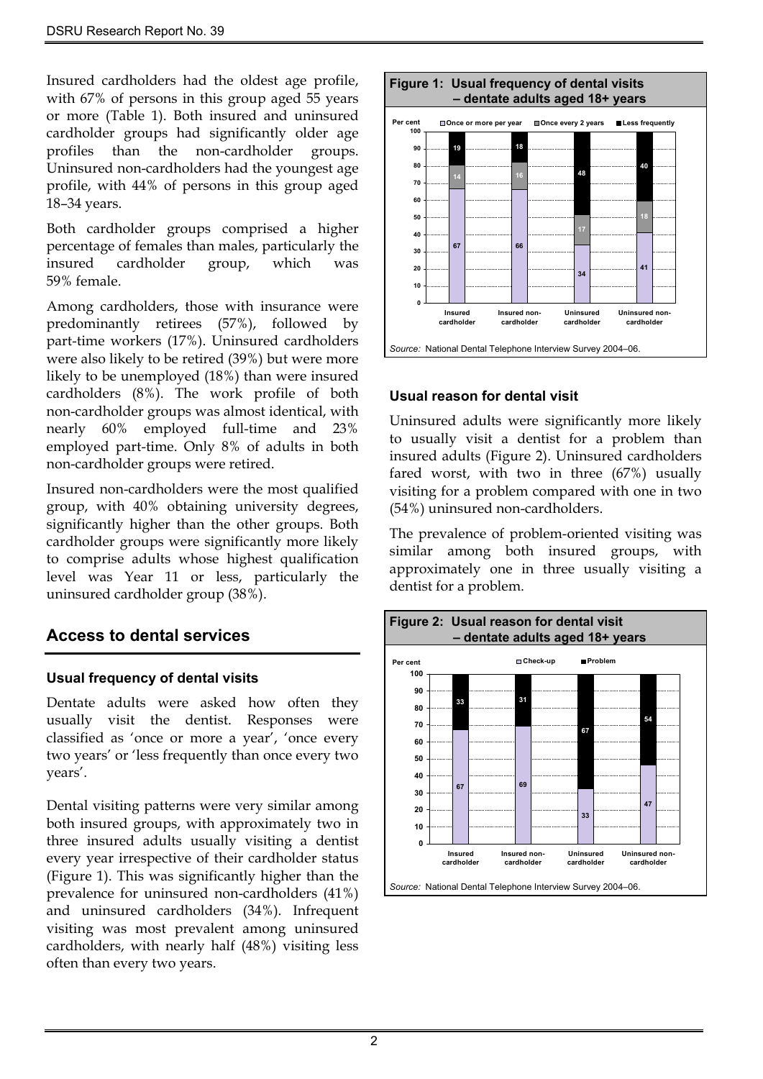Insured cardholders had the oldest age profile, with 67% of persons in this group aged 55 years or more (Table 1). Both insured and uninsured cardholder groups had significantly older age profiles than the non-cardholder groups. Uninsured non-cardholders had the youngest age profile, with 44% of persons in this group aged 18–34 years.

Both cardholder groups comprised a higher percentage of females than males, particularly the insured cardholder group, which was 59% female.

Among cardholders, those with insurance were predominantly retirees (57%), followed by part-time workers (17%). Uninsured cardholders were also likely to be retired (39%) but were more likely to be unemployed (18%) than were insured cardholders (8%). The work profile of both non-cardholder groups was almost identical, with nearly 60% employed full-time and 23% employed part-time. Only 8% of adults in both non-cardholder groups were retired.

Insured non-cardholders were the most qualified group, with 40% obtaining university degrees, significantly higher than the other groups. Both cardholder groups were significantly more likely to comprise adults whose highest qualification level was Year 11 or less, particularly the uninsured cardholder group (38%).

## **Access to dental services**

#### **Usual frequency of dental visits**

Dentate adults were asked how often they usually visit the dentist. Responses were classified as 'once or more a year', 'once every two years' or 'less frequently than once every two years'.

Dental visiting patterns were very similar among both insured groups, with approximately two in three insured adults usually visiting a dentist every year irrespective of their cardholder status (Figure 1). This was significantly higher than the prevalence for uninsured non-cardholders (41%) and uninsured cardholders (34%). Infrequent visiting was most prevalent among uninsured cardholders, with nearly half (48%) visiting less often than every two years.



#### **Usual reason for dental visit**

Uninsured adults were significantly more likely to usually visit a dentist for a problem than insured adults (Figure 2). Uninsured cardholders fared worst, with two in three (67%) usually visiting for a problem compared with one in two (54%) uninsured non-cardholders.

The prevalence of problem-oriented visiting was similar among both insured groups, with approximately one in three usually visiting a dentist for a problem.

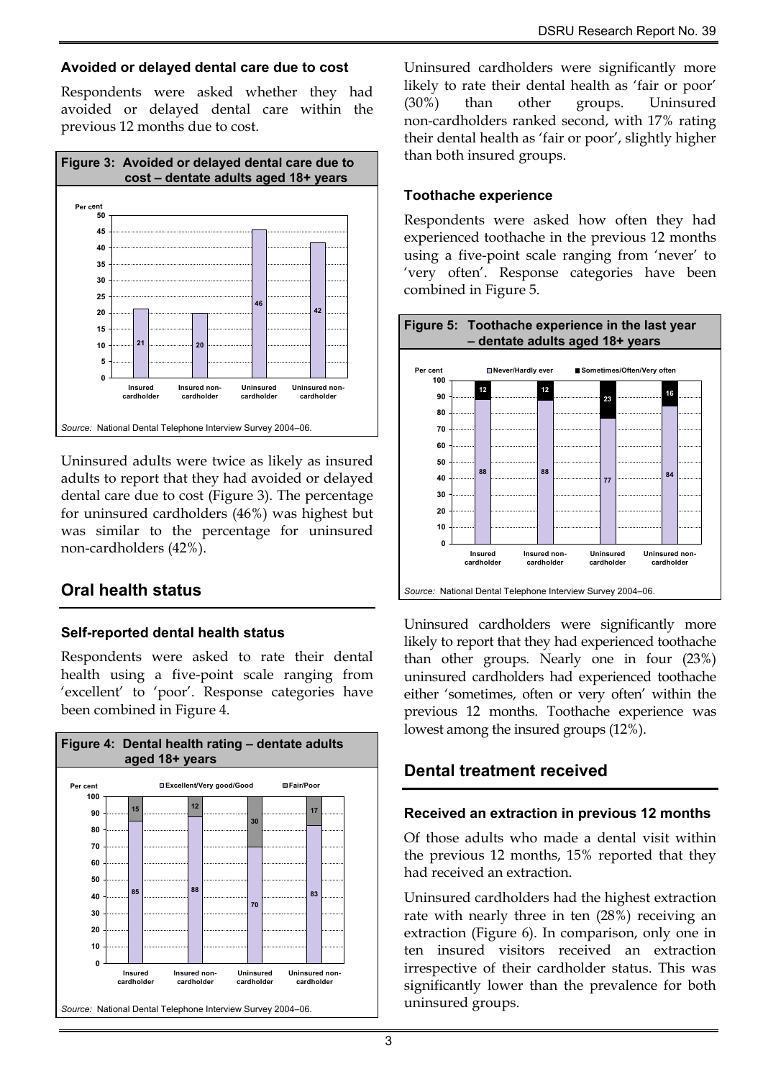### **Avoided or delayed dental care due to cost**

Respondents were asked whether they had avoided or delayed dental care within the previous 12 months due to cost.



Uninsured adults were twice as likely as insured adults to report that they had avoided or delayed dental care due to cost (Figure 3). The percentage for uninsured cardholders (46%) was highest but was similar to the percentage for uninsured non-cardholders (42%).

# **Oral health status**

### **Self-reported dental health status**

Respondents were asked to rate their dental health using a five-point scale ranging from 'excellent' to 'poor'. Response categories have been combined in Figure 4.



Uninsured cardholders were significantly more likely to rate their dental health as 'fair or poor' (30%) than other groups. Uninsured non-cardholders ranked second, with 17% rating their dental health as 'fair or poor', slightly higher than both insured groups.

#### **Toothache experience**

Respondents were asked how often they had experienced toothache in the previous 12 months using a five-point scale ranging from 'never' to 'very often'. Response categories have been combined in Figure 5.



Uninsured cardholders were significantly more likely to report that they had experienced toothache than other groups. Nearly one in four (23%) uninsured cardholders had experienced toothache either 'sometimes, often or very often' within the previous 12 months. Toothache experience was lowest among the insured groups (12%).

## **Dental treatment received**

#### **Received an extraction in previous 12 months**

Of those adults who made a dental visit within the previous 12 months, 15% reported that they had received an extraction.

Uninsured cardholders had the highest extraction rate with nearly three in ten (28%) receiving an extraction (Figure 6). In comparison, only one in ten insured visitors received an extraction irrespective of their cardholder status. This was significantly lower than the prevalence for both uninsured groups.